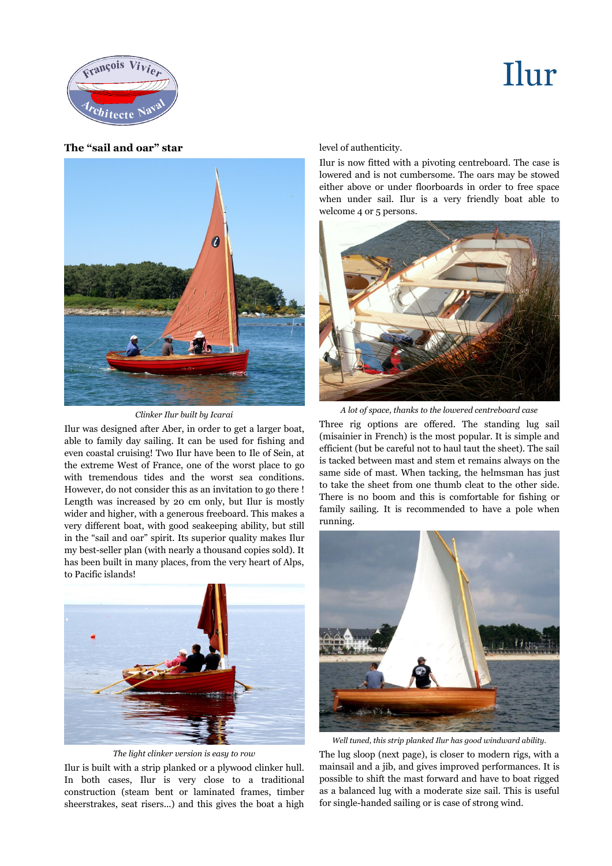## Ilur



**The "sail and oar" star**



## *Clinker Ilur built by Icarai*

Ilur was designed after Aber, in order to get a larger boat, able to family day sailing. It can be used for fishing and even coastal cruising! Two Ilur have been to Ile of Sein, at the extreme West of France, one of the worst place to go with tremendous tides and the worst sea conditions. However, do not consider this as an invitation to go there ! Length was increased by 20 cm only, but Ilur is mostly wider and higher, with a generous freeboard. This makes a very different boat, with good seakeeping ability, but still in the "sail and oar" spirit. Its superior quality makes Ilur my best-seller plan (with nearly a thousand copies sold). It has been built in many places, from the very heart of Alps, to Pacific islands!



*The light clinker version is easy to row*

Ilur is built with a strip planked or a plywood clinker hull. In both cases, Ilur is very close to a traditional construction (steam bent or laminated frames, timber sheerstrakes, seat risers...) and this gives the boat a high

level of authenticity.

Ilur is now fitted with a pivoting centreboard. The case is lowered and is not cumbersome. The oars may be stowed either above or under floorboards in order to free space when under sail. Ilur is a very friendly boat able to welcome 4 or 5 persons.



*A lot of space, thanks to the lowered centreboard case*

Three rig options are offered. The standing lug sail (misainier in French) is the most popular. It is simple and efficient (but be careful not to haul taut the sheet). The sail is tacked between mast and stem et remains always on the same side of mast. When tacking, the helmsman has just to take the sheet from one thumb cleat to the other side. There is no boom and this is comfortable for fishing or family sailing. It is recommended to have a pole when running.



*Well tuned, this strip planked Ilur has good windward ability.*

The lug sloop (next page), is closer to modern rigs, with a mainsail and a jib, and gives improved performances. It is possible to shift the mast forward and have to boat rigged as a balanced lug with a moderate size sail. This is useful for single-handed sailing or is case of strong wind.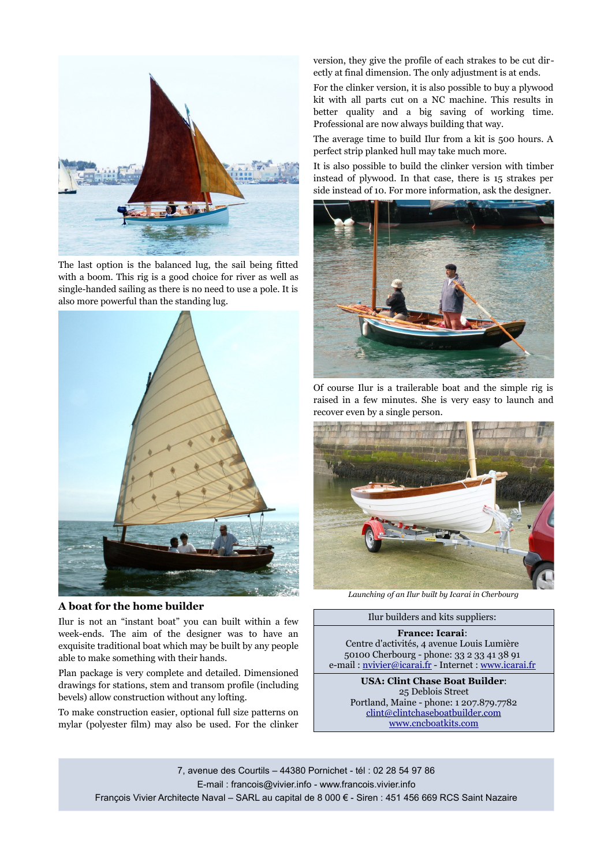

The last option is the balanced lug, the sail being fitted with a boom. This rig is a good choice for river as well as single-handed sailing as there is no need to use a pole. It is also more powerful than the standing lug.



## **A boat for the home builder**

Ilur is not an "instant boat" you can built within a few week-ends. The aim of the designer was to have an exquisite traditional boat which may be built by any people able to make something with their hands.

Plan package is very complete and detailed. Dimensioned drawings for stations, stem and transom profile (including bevels) allow construction without any lofting.

To make construction easier, optional full size patterns on mylar (polyester film) may also be used. For the clinker

version, they give the profile of each strakes to be cut directly at final dimension. The only adjustment is at ends.

For the clinker version, it is also possible to buy a plywood kit with all parts cut on a NC machine. This results in better quality and a big saving of working time. Professional are now always building that way.

The average time to build Ilur from a kit is 500 hours. A perfect strip planked hull may take much more.

It is also possible to build the clinker version with timber instead of plywood. In that case, there is 15 strakes per side instead of 10. For more information, ask the designer.



Of course Ilur is a trailerable boat and the simple rig is raised in a few minutes. She is very easy to launch and recover even by a single person.



*Launching of an Ilur built by Icarai in Cherbourg*

Ilur builders and kits suppliers:

**France: Icarai**: Centre d'activités, 4 avenue Louis Lumière 50100 Cherbourg - phone: 33 2 33 41 38 91 e-mail : [nvivier@icarai.fr](mailto:nvivier@icarai.net) - Internet : [www.icarai.fr](http://www.icarai.net/)

> **USA: Clint Chase Boat Builder**: 25 Deblois Street Portland, Maine - phone: 1 207.879.7782 [clint@clintchaseboatbuilder.com](mailto:clint@clintchaseboatbuilder.com) [www.cncboatkits.com](http://www.cncboatkits.com/)

7, avenue des Courtils – 44380 Pornichet - tél : 02 28 54 97 86 E-mail : [francois@vivier.info](mailto:francois@vivier.info) - [www.francois.vivier.info](http://www.francois.vivier.info/) François Vivier Architecte Naval – SARL au capital de 8 000 € - Siren : 451 456 669 RCS Saint Nazaire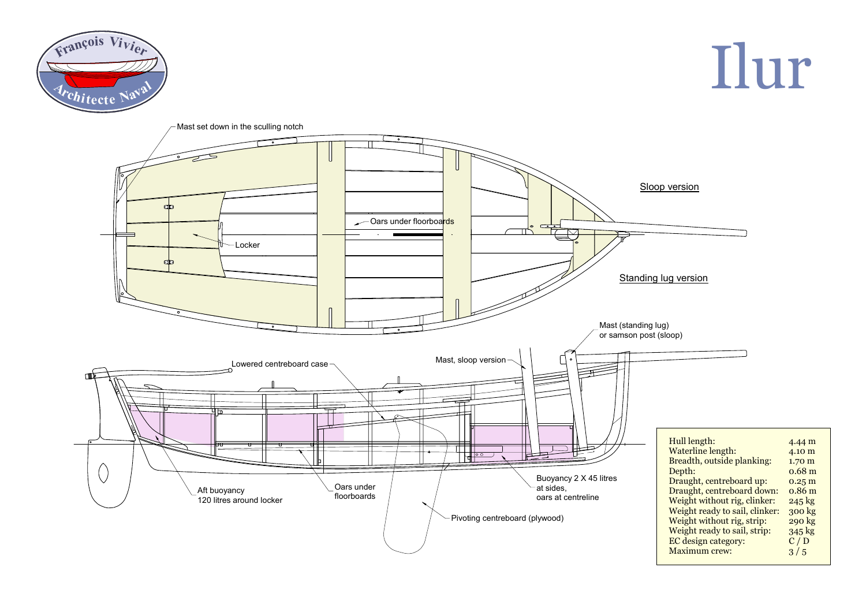

Ilur